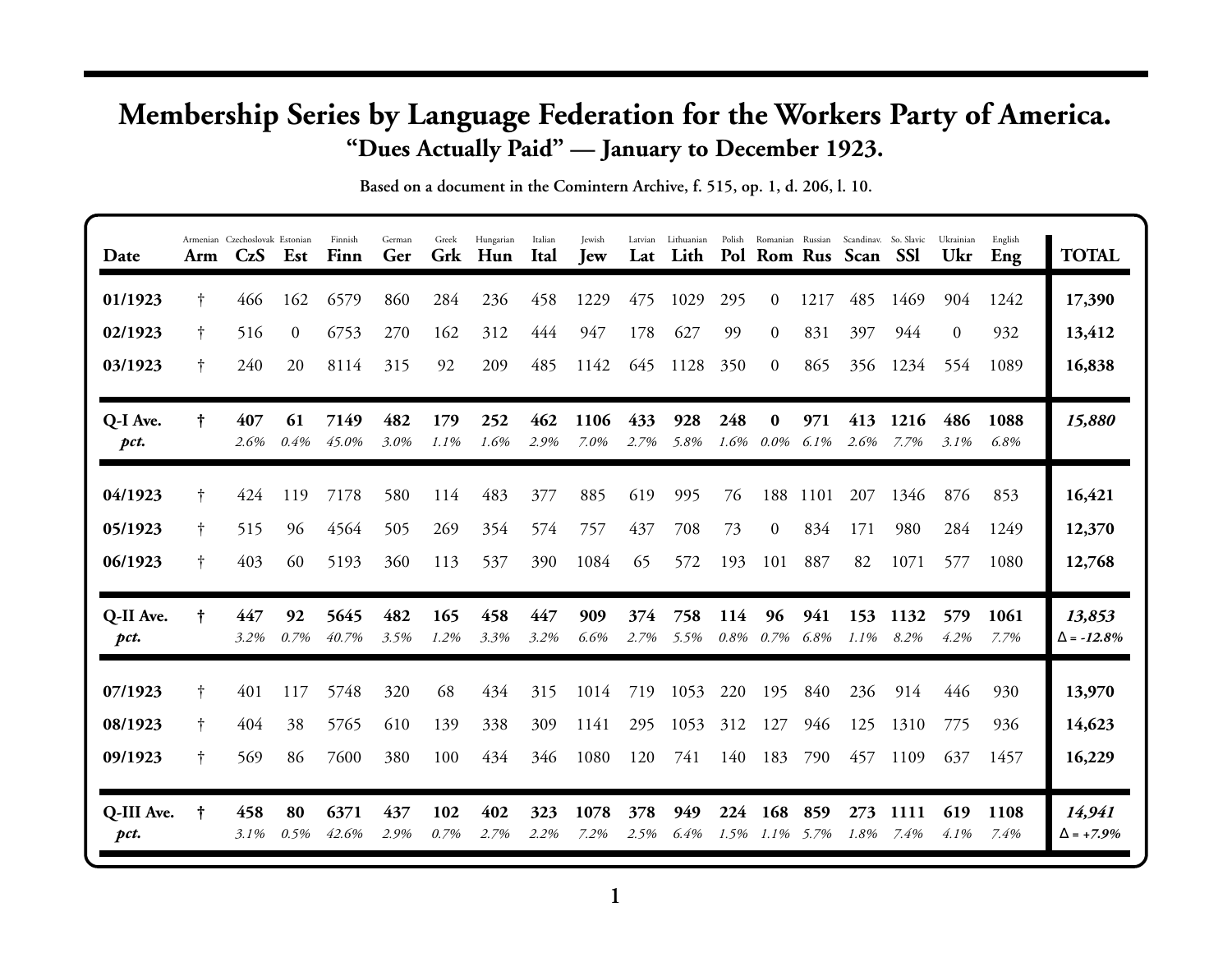## **Membership Series by Language Federation for the Workers Party of America. "Dues Actually Paid" — January to December 1923.**

**Based on a document in the Comintern Archive, f. 515, op. 1, d. 206, l. 10.**

| Date               | Arm | Armenian Czechoslovak Estonian<br>CzS | Est            | Finnish<br>Finn | German<br>Ger | Greek<br>Grk | Hungarian<br>Hun | Italian<br>Ital | Jewish<br><b>I</b> ew | Latvian<br>Lat | Lithuanian<br>Lith |             |                             |             | Polish Romanian Russian Scandinav. So. Slavic<br>Pol Rom Rus Scan SSI |                     | Ukrainian<br>Ukr | English<br>Eng | <b>TOTAL</b>                |
|--------------------|-----|---------------------------------------|----------------|-----------------|---------------|--------------|------------------|-----------------|-----------------------|----------------|--------------------|-------------|-----------------------------|-------------|-----------------------------------------------------------------------|---------------------|------------------|----------------|-----------------------------|
| 01/1923            | Ť.  | 466                                   | 162            | 6579            | 860           | 284          | 236              | 458             | 1229                  | 475            | 1029               | 295         | 0                           | 1217        | 485                                                                   | 1469                | 904              | 1242           | 17,390                      |
| 02/1923            | t.  | 516                                   | $\overline{0}$ | 6753            | 270           | 162          | 312              | 444             | 947                   | 178            | 627                | 99          | $\overline{0}$              | 831         | 397                                                                   | 944                 | $\overline{0}$   | 932            | 13,412                      |
| 03/1923            | t.  | 240                                   | 20             | 8114            | 315           | 92           | 209              | 485             | 1142                  | 645            | 1128               | 350         | $\left($                    | 865         | 356                                                                   | 1234                | 554              | 1089           | 16,838                      |
| Q-I Ave.<br>pct.   | t   | 407<br>2.6%                           | 61<br>0.4%     | 7149<br>45.0%   | 482<br>3.0%   | 179<br>1.1%  | 252<br>1.6%      | 462<br>2.9%     | 1106<br>7.0%          | 433<br>2.7%    | 928<br>5.8%        | 248<br>1.6% | $\bf{0}$<br>$0.0\%$         | 971<br>6.1% | 413<br>2.6%                                                           | 1216<br>7.7%        | 486<br>3.1%      | 1088<br>6.8%   | 15,880                      |
| 04/1923            | Ť.  | 424                                   | 119            | 7178            | 580           | 114          | 483              | 377             | 885                   | 619            | 995                | 76          | 188                         | 1101        | 207                                                                   | 1346                | 876              | 853            | 16,421                      |
| 05/1923            | ŧ   | 515                                   | 96             | 4564            | 505           | 269          | 354              | 574             | 757                   | 437            | 708                | 73          | $\Omega$                    | 834         | 171                                                                   | 980                 | 284              | 1249           | 12,370                      |
| 06/1923            | Ť   | 403                                   | 60             | 5193            | 360           | 113          | 537              | 390             | 1084                  | 65             | 572                | 193         | 101                         | 887         | 82                                                                    | 1071                | 577              | 1080           | 12,768                      |
| Q-II Ave.<br>pct.  | t   | 447<br>3.2%                           | 92<br>0.7%     | 5645<br>40.7%   | 482<br>3.5%   | 165<br>1.2%  | 458<br>3.3%      | 447<br>3.2%     | 909<br>6.6%           | 374<br>2.7%    | 758<br>5.5%        | 114         | 96<br>$0.8\% \quad 0.7\%$   | 941<br>6.8% | 153<br>$1.1\%$                                                        | 1132<br>8.2%        | 579<br>4.2%      | 1061<br>7.7%   | 13,853<br>$\Delta = -12.8%$ |
| 07/1923            | Ť.  | 401                                   | 117            | 5748            | 320           | 68           | 434              | 315             | 1014                  | 719            | 1053               | 220         | 195                         | 840         | 236                                                                   | 914                 | 446              | 930            | 13,970                      |
| 08/1923            | Ť.  | 404                                   | 38             | 5765            | 610           | 139          | 338              | 309             | 1141                  | 295            | 1053               | 312         | 127                         | 946         | 125                                                                   | 1310                | 775              | 936            | 14,623                      |
| 09/1923            | Ť   | 569                                   | 86             | 7600            | 380           | 100          | 434              | 346             | 1080                  | 120            | 741                | 140         | 183                         | 790         | 457                                                                   | 1109                | 637              | 1457           | 16,229                      |
| Q-III Ave.<br>pct. | ŧ   | 458<br>$3.1\%$                        | 80<br>0.5%     | 6371<br>42.6%   | 437<br>2.9%   | 102<br>0.7%  | 402<br>2.7%      | 323<br>2.2%     | 1078<br>7.2%          | 378<br>2.5%    | 949<br>6.4%        | 224         | 168<br>$1.5\%$ $1.1\%$ 5.7% | 859         | 273<br>1.8%                                                           | <b>1111</b><br>7.4% | 619<br>$4.1\%$   | 1108<br>7.4%   | 14,941<br>$\Delta$ = +7.9%  |